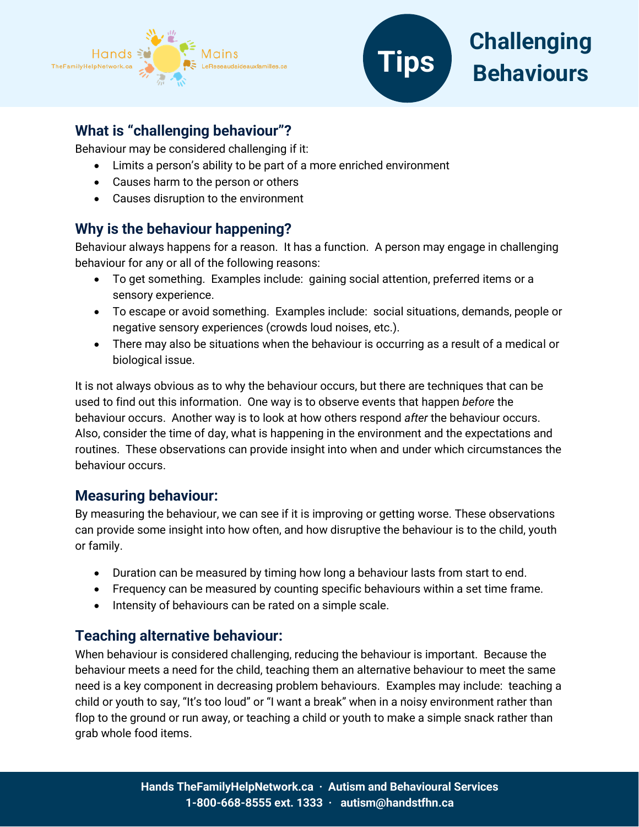



# **What is "challenging behaviour"?**

Behaviour may be considered challenging if it:

- Limits a person's ability to be part of a more enriched environment
- Causes harm to the person or others
- Causes disruption to the environment

## **Why is the behaviour happening?**

Behaviour always happens for a reason. It has a function. A person may engage in challenging behaviour for any or all of the following reasons:

- To get something. Examples include: gaining social attention, preferred items or a sensory experience.
- To escape or avoid something. Examples include: social situations, demands, people or negative sensory experiences (crowds loud noises, etc.).
- There may also be situations when the behaviour is occurring as a result of a medical or biological issue.

It is not always obvious as to why the behaviour occurs, but there are techniques that can be used to find out this information. One way is to observe events that happen *before* the behaviour occurs. Another way is to look at how others respond *after* the behaviour occurs. Also, consider the time of day, what is happening in the environment and the expectations and routines. These observations can provide insight into when and under which circumstances the behaviour occurs.

### **Measuring behaviour:**

By measuring the behaviour, we can see if it is improving or getting worse. These observations can provide some insight into how often, and how disruptive the behaviour is to the child, youth or family.

- Duration can be measured by timing how long a behaviour lasts from start to end.
- Frequency can be measured by counting specific behaviours within a set time frame.
- Intensity of behaviours can be rated on a simple scale.

### **Teaching alternative behaviour:**

When behaviour is considered challenging, reducing the behaviour is important. Because the behaviour meets a need for the child, teaching them an alternative behaviour to meet the same need is a key component in decreasing problem behaviours. Examples may include: teaching a child or youth to say, "It's too loud" or "I want a break" when in a noisy environment rather than flop to the ground or run away, or teaching a child or youth to make a simple snack rather than grab whole food items.